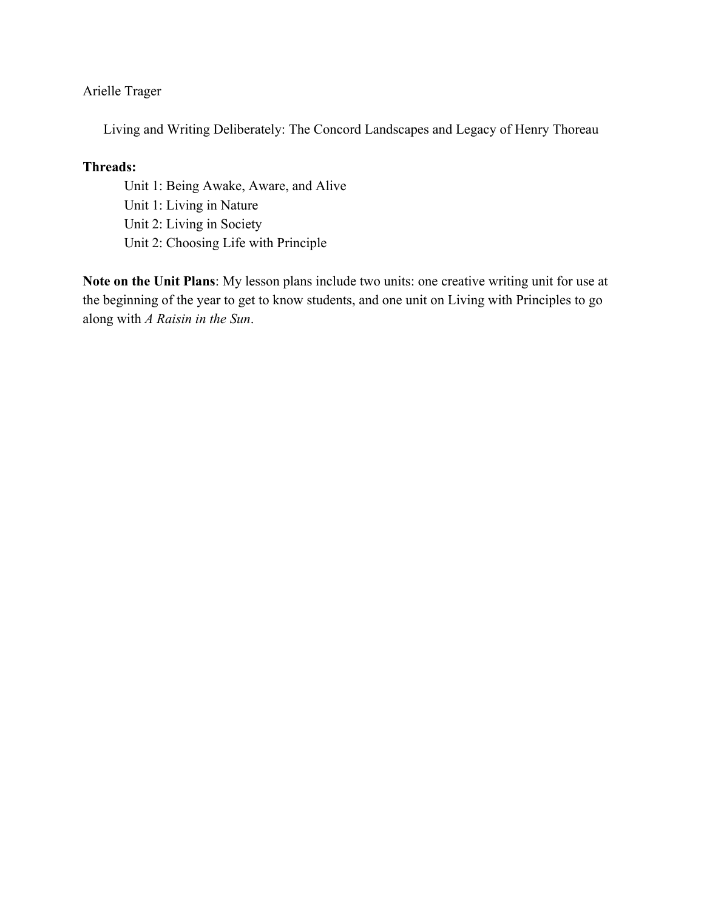# Arielle Trager

Living and Writing Deliberately: The Concord Landscapes and Legacy of Henry Thoreau

## **Threads:**

Unit 1: Being Awake, Aware, and Alive Unit 1: Living in Nature Unit 2: Living in Society Unit 2: Choosing Life with Principle

**Note on the Unit Plans**: My lesson plans include two units: one creative writing unit for use at the beginning of the year to get to know students, and one unit on Living with Principles to go along with *A Raisin in the Sun*.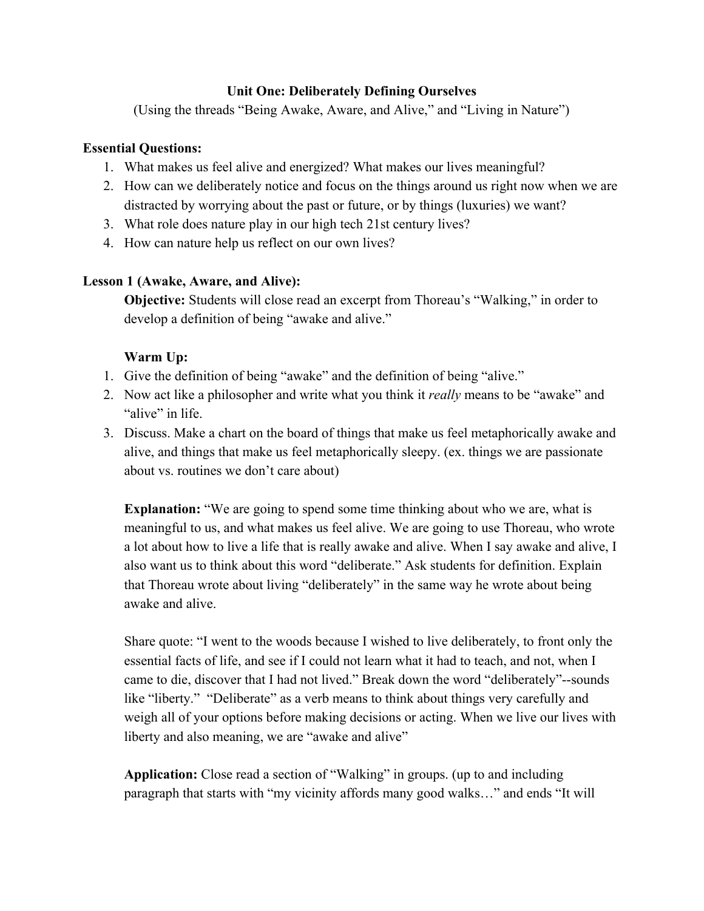### **Unit One: Deliberately Defining Ourselves**

(Using the threads "Being Awake, Aware, and Alive," and "Living in Nature")

### **Essential Questions:**

- 1. What makes us feel alive and energized? What makes our lives meaningful?
- 2. How can we deliberately notice and focus on the things around us right now when we are distracted by worrying about the past or future, or by things (luxuries) we want?
- 3. What role does nature play in our high tech 21st century lives?
- 4. How can nature help us reflect on our own lives?

## **Lesson 1 (Awake, Aware, and Alive):**

**Objective:** Students will close read an excerpt from Thoreau's "Walking," in order to develop a definition of being "awake and alive."

# **Warm Up:**

- 1. Give the definition of being "awake" and the definition of being "alive."
- 2. Now act like a philosopher and write what you think it *really* means to be "awake" and "alive" in life.
- 3. Discuss. Make a chart on the board of things that make us feel metaphorically awake and alive, and things that make us feel metaphorically sleepy. (ex. things we are passionate about vs. routines we don't care about)

**Explanation:** "We are going to spend some time thinking about who we are, what is meaningful to us, and what makes us feel alive. We are going to use Thoreau, who wrote a lot about how to live a life that is really awake and alive. When I say awake and alive, I also want us to think about this word "deliberate." Ask students for definition. Explain that Thoreau wrote about living "deliberately" in the same way he wrote about being awake and alive.

Share quote: "I went to the woods because I wished to live deliberately, to front only the essential facts of life, and see if I could not learn what it had to teach, and not, when I came to die, discover that I had not lived." Break down the word "deliberately"--sounds like "liberty." "Deliberate" as a verb means to think about things very carefully and weigh all of your options before making decisions or acting. When we live our lives with liberty and also meaning, we are "awake and alive"

**Application:** Close read a section of "Walking" in groups. (up to and including paragraph that starts with "my vicinity affords many good walks…" and ends "It will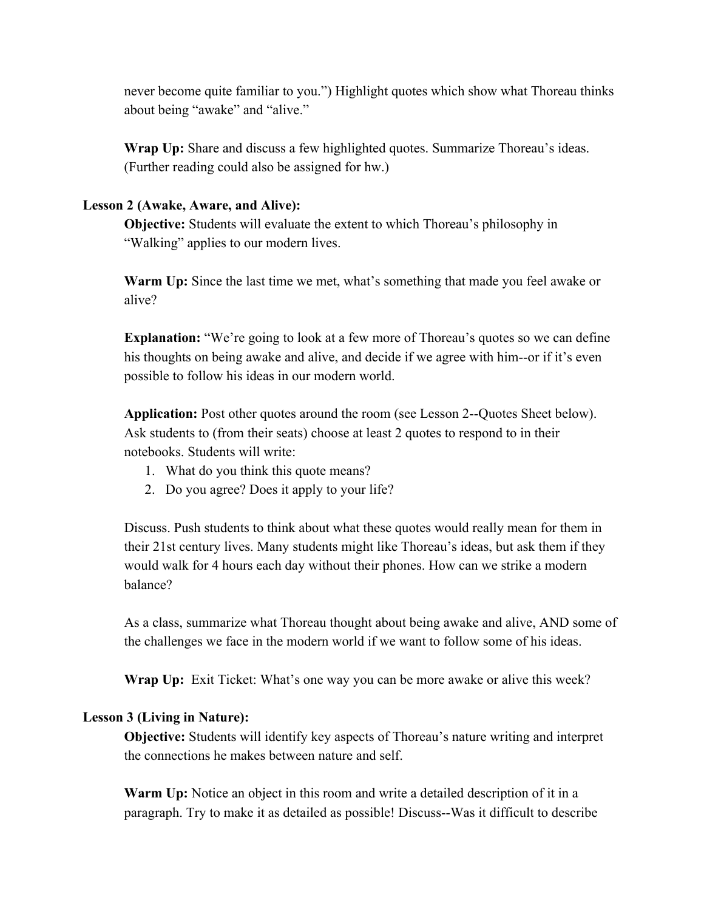never become quite familiar to you.") Highlight quotes which show what Thoreau thinks about being "awake" and "alive."

**Wrap Up:** Share and discuss a few highlighted quotes. Summarize Thoreau's ideas. (Further reading could also be assigned for hw.)

#### **Lesson 2 (Awake, Aware, and Alive):**

**Objective:** Students will evaluate the extent to which Thoreau's philosophy in "Walking" applies to our modern lives.

**Warm Up:** Since the last time we met, what's something that made you feel awake or alive?

**Explanation:** "We're going to look at a few more of Thoreau's quotes so we can define his thoughts on being awake and alive, and decide if we agree with him--or if it's even possible to follow his ideas in our modern world.

**Application:** Post other quotes around the room (see Lesson 2--Quotes Sheet below). Ask students to (from their seats) choose at least 2 quotes to respond to in their notebooks. Students will write:

- 1. What do you think this quote means?
- 2. Do you agree? Does it apply to your life?

Discuss. Push students to think about what these quotes would really mean for them in their 21st century lives. Many students might like Thoreau's ideas, but ask them if they would walk for 4 hours each day without their phones. How can we strike a modern balance?

As a class, summarize what Thoreau thought about being awake and alive, AND some of the challenges we face in the modern world if we want to follow some of his ideas.

**Wrap Up:** Exit Ticket: What's one way you can be more awake or alive this week?

#### **Lesson 3 (Living in Nature):**

**Objective:** Students will identify key aspects of Thoreau's nature writing and interpret the connections he makes between nature and self.

**Warm Up:** Notice an object in this room and write a detailed description of it in a paragraph. Try to make it as detailed as possible! Discuss--Was it difficult to describe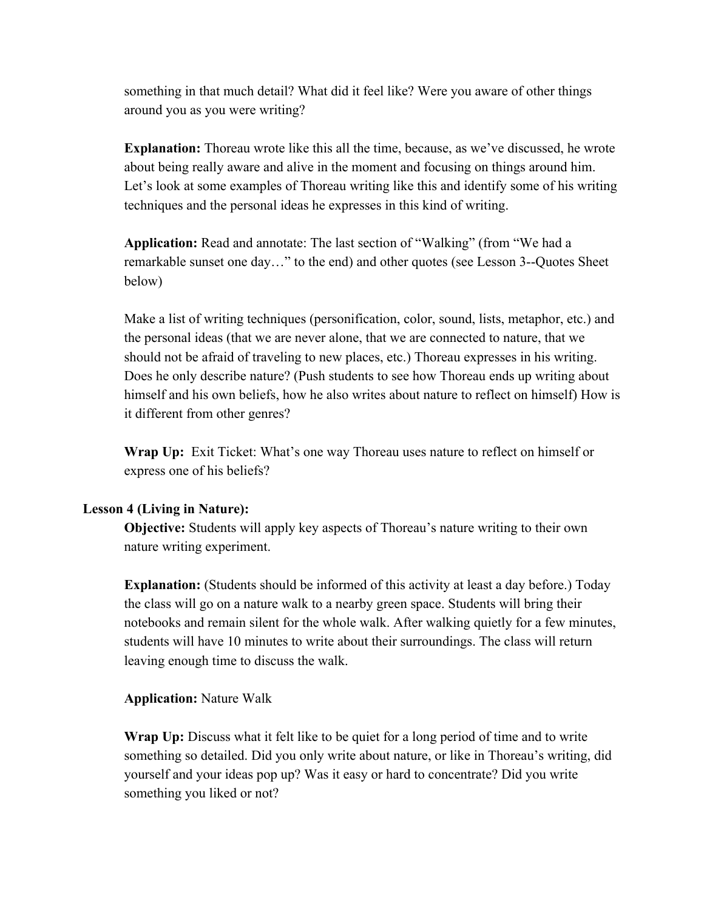something in that much detail? What did it feel like? Were you aware of other things around you as you were writing?

**Explanation:** Thoreau wrote like this all the time, because, as we've discussed, he wrote about being really aware and alive in the moment and focusing on things around him. Let's look at some examples of Thoreau writing like this and identify some of his writing techniques and the personal ideas he expresses in this kind of writing.

**Application:** Read and annotate: The last section of "Walking" (from "We had a remarkable sunset one day…" to the end) and other quotes (see Lesson 3--Quotes Sheet below)

Make a list of writing techniques (personification, color, sound, lists, metaphor, etc.) and the personal ideas (that we are never alone, that we are connected to nature, that we should not be afraid of traveling to new places, etc.) Thoreau expresses in his writing. Does he only describe nature? (Push students to see how Thoreau ends up writing about himself and his own beliefs, how he also writes about nature to reflect on himself) How is it different from other genres?

**Wrap Up:** Exit Ticket: What's one way Thoreau uses nature to reflect on himself or express one of his beliefs?

#### **Lesson 4 (Living in Nature):**

**Objective:** Students will apply key aspects of Thoreau's nature writing to their own nature writing experiment.

**Explanation:** (Students should be informed of this activity at least a day before.) Today the class will go on a nature walk to a nearby green space. Students will bring their notebooks and remain silent for the whole walk. After walking quietly for a few minutes, students will have 10 minutes to write about their surroundings. The class will return leaving enough time to discuss the walk.

#### **Application:** Nature Walk

**Wrap Up:** Discuss what it felt like to be quiet for a long period of time and to write something so detailed. Did you only write about nature, or like in Thoreau's writing, did yourself and your ideas pop up? Was it easy or hard to concentrate? Did you write something you liked or not?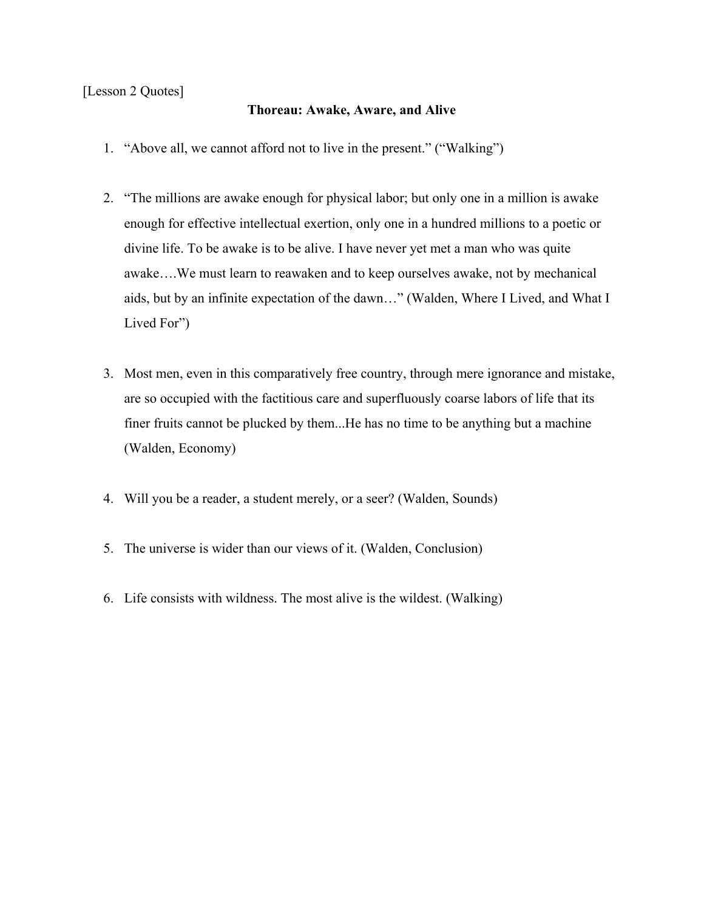#### [Lesson 2 Quotes]

#### **Thoreau: Awake, Aware, and Alive**

- 1. "Above all, we cannot afford not to live in the present." ("Walking")
- 2. "The millions are awake enough for physical labor; but only one in a million is awake enough for effective intellectual exertion, only one in a hundred millions to a poetic or divine life. To be awake is to be alive. I have never yet met a man who was quite awake….We must learn to reawaken and to keep ourselves awake, not by mechanical aids, but by an infinite expectation of the dawn…" (Walden, Where I Lived, and What I Lived For")
- 3. Most men, even in this comparatively free country, through mere ignorance and mistake, are so occupied with the factitious care and superfluously coarse labors of life that its finer fruits cannot be plucked by them...He has no time to be anything but a machine (Walden, Economy)
- 4. Will you be a reader, a student merely, or a seer? (Walden, Sounds)
- 5. The universe is wider than our views of it. (Walden, Conclusion)
- 6. Life consists with wildness. The most alive is the wildest. (Walking)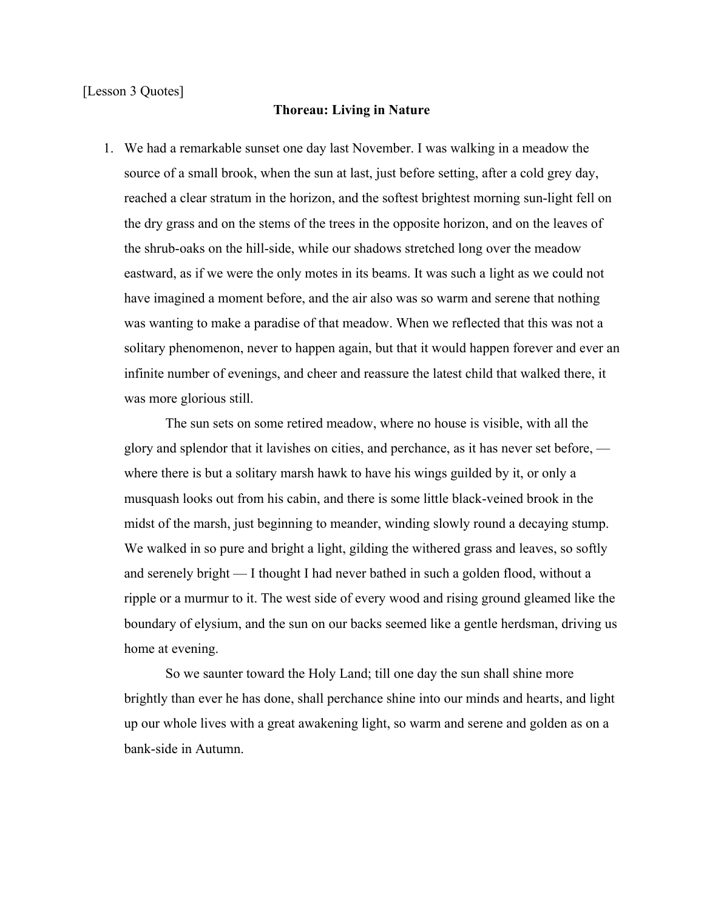#### **Thoreau: Living in Nature**

1. We had a remarkable sunset one day last November. I was walking in a meadow the source of a small brook, when the sun at last, just before setting, after a cold grey day, reached a clear stratum in the horizon, and the softest brightest morning sun-light fell on the dry grass and on the stems of the trees in the opposite horizon, and on the leaves of the shrub-oaks on the hill-side, while our shadows stretched long over the meadow eastward, as if we were the only motes in its beams. It was such a light as we could not have imagined a moment before, and the air also was so warm and serene that nothing was wanting to make a paradise of that meadow. When we reflected that this was not a solitary phenomenon, never to happen again, but that it would happen forever and ever an infinite number of evenings, and cheer and reassure the latest child that walked there, it was more glorious still.

The sun sets on some retired meadow, where no house is visible, with all the glory and splendor that it lavishes on cities, and perchance, as it has never set before, where there is but a solitary marsh hawk to have his wings guilded by it, or only a musquash looks out from his cabin, and there is some little black-veined brook in the midst of the marsh, just beginning to meander, winding slowly round a decaying stump. We walked in so pure and bright a light, gilding the withered grass and leaves, so softly and serenely bright — I thought I had never bathed in such a golden flood, without a ripple or a murmur to it. The west side of every wood and rising ground gleamed like the boundary of elysium, and the sun on our backs seemed like a gentle herdsman, driving us home at evening.

So we saunter toward the Holy Land; till one day the sun shall shine more brightly than ever he has done, shall perchance shine into our minds and hearts, and light up our whole lives with a great awakening light, so warm and serene and golden as on a bank-side in Autumn.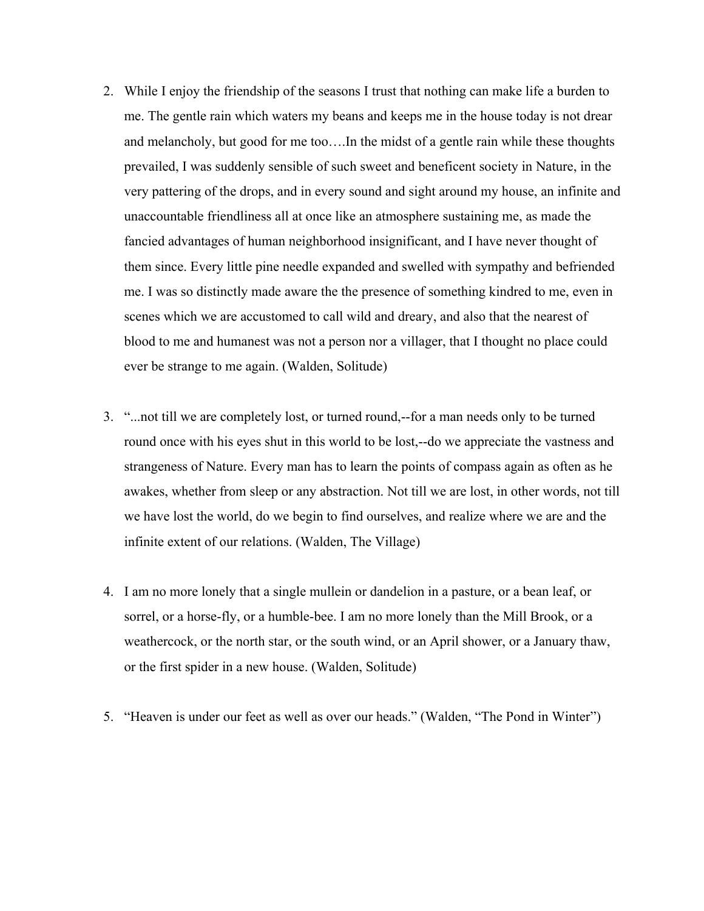- 2. While I enjoy the friendship of the seasons I trust that nothing can make life a burden to me. The gentle rain which waters my beans and keeps me in the house today is not drear and melancholy, but good for me too….In the midst of a gentle rain while these thoughts prevailed, I was suddenly sensible of such sweet and beneficent society in Nature, in the very pattering of the drops, and in every sound and sight around my house, an infinite and unaccountable friendliness all at once like an atmosphere sustaining me, as made the fancied advantages of human neighborhood insignificant, and I have never thought of them since. Every little pine needle expanded and swelled with sympathy and befriended me. I was so distinctly made aware the the presence of something kindred to me, even in scenes which we are accustomed to call wild and dreary, and also that the nearest of blood to me and humanest was not a person nor a villager, that I thought no place could ever be strange to me again. (Walden, Solitude)
- 3. "...not till we are completely lost, or turned round,--for a man needs only to be turned round once with his eyes shut in this world to be lost,--do we appreciate the vastness and strangeness of Nature. Every man has to learn the points of compass again as often as he awakes, whether from sleep or any abstraction. Not till we are lost, in other words, not till we have lost the world, do we begin to find ourselves, and realize where we are and the infinite extent of our relations. (Walden, The Village)
- 4. I am no more lonely that a single mullein or dandelion in a pasture, or a bean leaf, or sorrel, or a horse-fly, or a humble-bee. I am no more lonely than the Mill Brook, or a weathercock, or the north star, or the south wind, or an April shower, or a January thaw, or the first spider in a new house. (Walden, Solitude)
- 5. "Heaven is under our feet as well as over our heads." (Walden, "The Pond in Winter")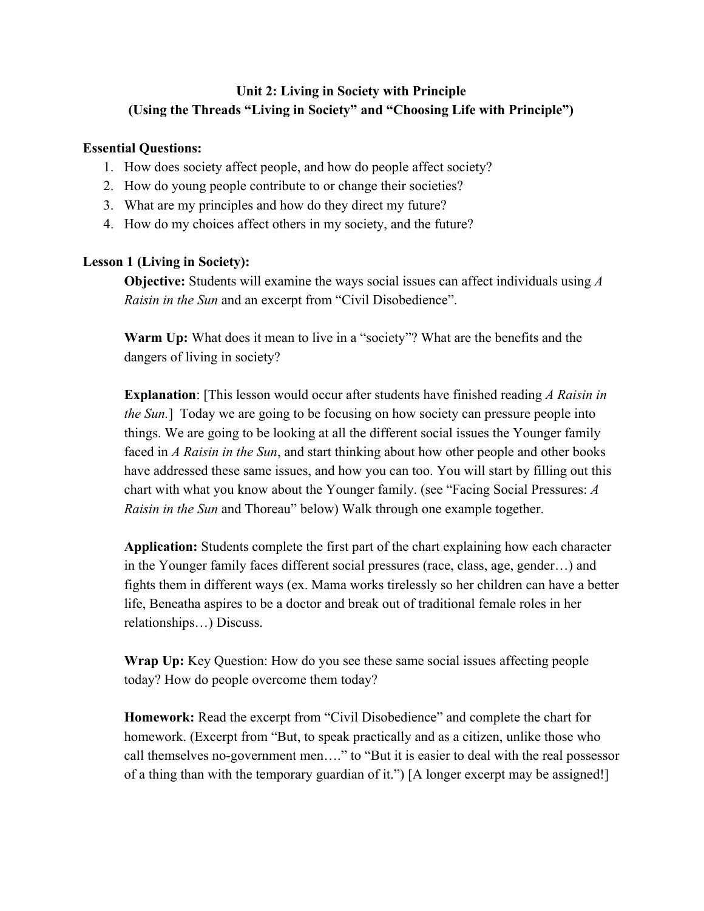# **Unit 2: Living in Society with Principle (Using the Threads "Living in Society" and "Choosing Life with Principle")**

#### **Essential Questions:**

- 1. How does society affect people, and how do people affect society?
- 2. How do young people contribute to or change their societies?
- 3. What are my principles and how do they direct my future?
- 4. How do my choices affect others in my society, and the future?

#### **Lesson 1 (Living in Society):**

**Objective:** Students will examine the ways social issues can affect individuals using *A Raisin in the Sun* and an excerpt from "Civil Disobedience".

**Warm Up:** What does it mean to live in a "society"? What are the benefits and the dangers of living in society?

**Explanation**: [This lesson would occur after students have finished reading *A Raisin in the Sun.*] Today we are going to be focusing on how society can pressure people into things. We are going to be looking at all the different social issues the Younger family faced in *A Raisin in the Sun*, and start thinking about how other people and other books have addressed these same issues, and how you can too. You will start by filling out this chart with what you know about the Younger family. (see "Facing Social Pressures: *A Raisin in the Sun* and Thoreau" below) Walk through one example together.

**Application:** Students complete the first part of the chart explaining how each character in the Younger family faces different social pressures (race, class, age, gender…) and fights them in different ways (ex. Mama works tirelessly so her children can have a better life, Beneatha aspires to be a doctor and break out of traditional female roles in her relationships…) Discuss.

**Wrap Up:** Key Question: How do you see these same social issues affecting people today? How do people overcome them today?

**Homework:** Read the excerpt from "Civil Disobedience" and complete the chart for homework. (Excerpt from "But, to speak practically and as a citizen, unlike those who call themselves no-government men…." to "But it is easier to deal with the real possessor of a thing than with the temporary guardian of it.") [A longer excerpt may be assigned!]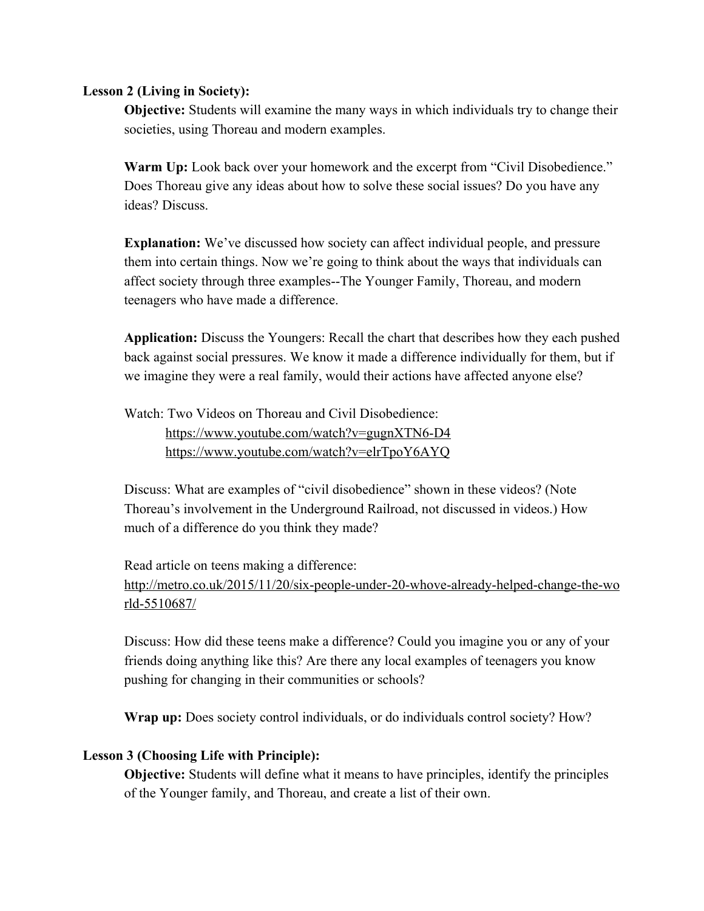#### **Lesson 2 (Living in Society):**

**Objective:** Students will examine the many ways in which individuals try to change their societies, using Thoreau and modern examples.

**Warm Up:** Look back over your homework and the excerpt from "Civil Disobedience." Does Thoreau give any ideas about how to solve these social issues? Do you have any ideas? Discuss.

**Explanation:** We've discussed how society can affect individual people, and pressure them into certain things. Now we're going to think about the ways that individuals can affect society through three examples--The Younger Family, Thoreau, and modern teenagers who have made a difference.

**Application:** Discuss the Youngers: Recall the chart that describes how they each pushed back against social pressures. We know it made a difference individually for them, but if we imagine they were a real family, would their actions have affected anyone else?

Watch: Two Videos on Thoreau and Civil Disobedience: <https://www.youtube.com/watch?v=gugnXTN6-D4> <https://www.youtube.com/watch?v=elrTpoY6AYQ>

Discuss: What are examples of "civil disobedience" shown in these videos? (Note Thoreau's involvement in the Underground Railroad, not discussed in videos.) How much of a difference do you think they made?

Read article on teens making a difference: [http://metro.co.uk/2015/11/20/six-people-under-20-whove-already-helped-change-the-wo](http://metro.co.uk/2015/11/20/six-people-under-20-whove-already-helped-change-the-world-5510687/) [rld-5510687/](http://metro.co.uk/2015/11/20/six-people-under-20-whove-already-helped-change-the-world-5510687/)

Discuss: How did these teens make a difference? Could you imagine you or any of your friends doing anything like this? Are there any local examples of teenagers you know pushing for changing in their communities or schools?

**Wrap up:** Does society control individuals, or do individuals control society? How?

#### **Lesson 3 (Choosing Life with Principle):**

**Objective:** Students will define what it means to have principles, identify the principles of the Younger family, and Thoreau, and create a list of their own.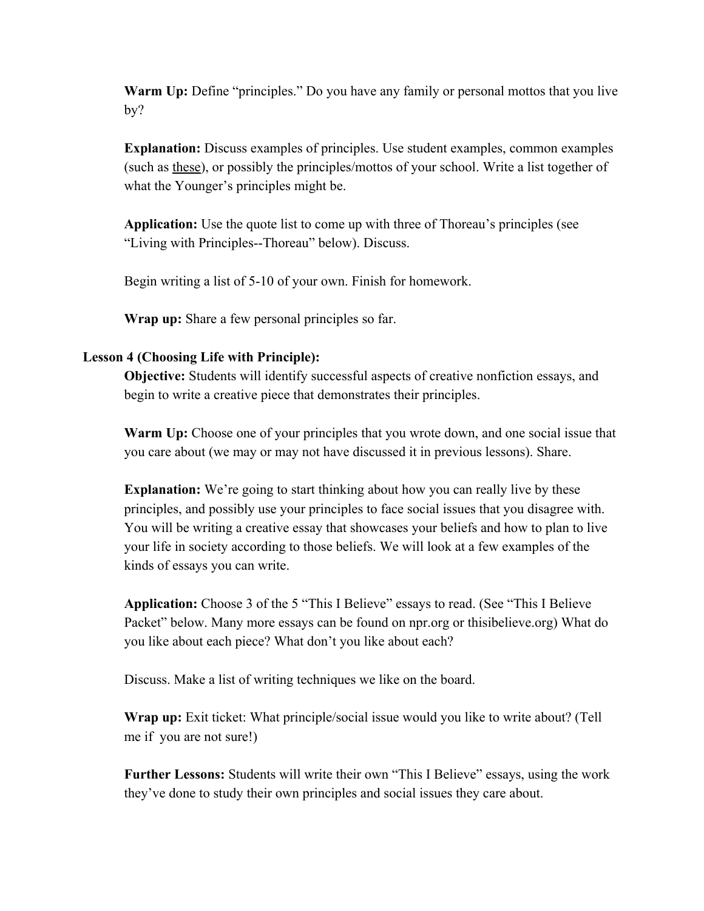**Warm Up:** Define "principles." Do you have any family or personal mottos that you live by?

**Explanation:** Discuss examples of principles. Use student examples, common examples (such as [these\)](https://elitedaily.com/money/entrepreneurship/13-success-principles-life/), or possibly the principles/mottos of your school. Write a list together of what the Younger's principles might be.

**Application:** Use the quote list to come up with three of Thoreau's principles (see "Living with Principles--Thoreau" below). Discuss.

Begin writing a list of 5-10 of your own. Finish for homework.

**Wrap up:** Share a few personal principles so far.

#### **Lesson 4 (Choosing Life with Principle):**

**Objective:** Students will identify successful aspects of creative nonfiction essays, and begin to write a creative piece that demonstrates their principles.

**Warm Up:** Choose one of your principles that you wrote down, and one social issue that you care about (we may or may not have discussed it in previous lessons). Share.

**Explanation:** We're going to start thinking about how you can really live by these principles, and possibly use your principles to face social issues that you disagree with. You will be writing a creative essay that showcases your beliefs and how to plan to live your life in society according to those beliefs. We will look at a few examples of the kinds of essays you can write.

**Application:** Choose 3 of the 5 "This I Believe" essays to read. (See "This I Believe Packet" below. Many more essays can be found on npr.org or thisibelieve.org) What do you like about each piece? What don't you like about each?

Discuss. Make a list of writing techniques we like on the board.

**Wrap up:** Exit ticket: What principle/social issue would you like to write about? (Tell me if you are not sure!)

**Further Lessons:** Students will write their own "This I Believe" essays, using the work they've done to study their own principles and social issues they care about.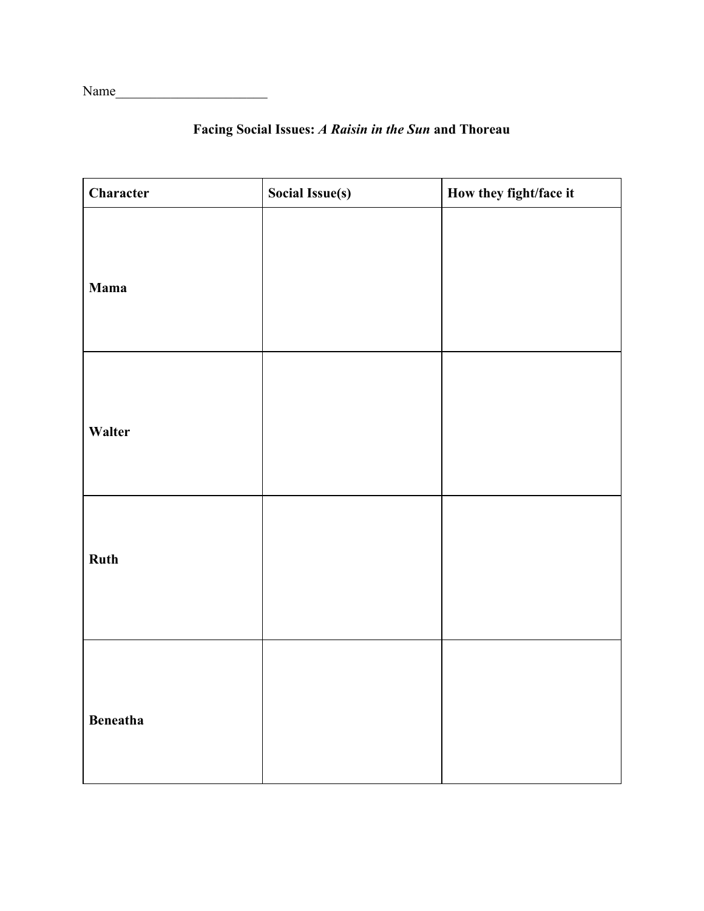Name\_\_\_\_\_\_\_\_\_\_\_\_\_\_\_\_\_\_\_\_\_\_

# **Facing Social Issues:** *A Raisin in the Sun* **and Thoreau**

| Character       | Social Issue(s) | How they fight/face it |
|-----------------|-----------------|------------------------|
|                 |                 |                        |
|                 |                 |                        |
| Mama            |                 |                        |
|                 |                 |                        |
|                 |                 |                        |
|                 |                 |                        |
|                 |                 |                        |
| Walter          |                 |                        |
|                 |                 |                        |
|                 |                 |                        |
|                 |                 |                        |
|                 |                 |                        |
| Ruth            |                 |                        |
|                 |                 |                        |
|                 |                 |                        |
|                 |                 |                        |
|                 |                 |                        |
| <b>Beneatha</b> |                 |                        |
|                 |                 |                        |
|                 |                 |                        |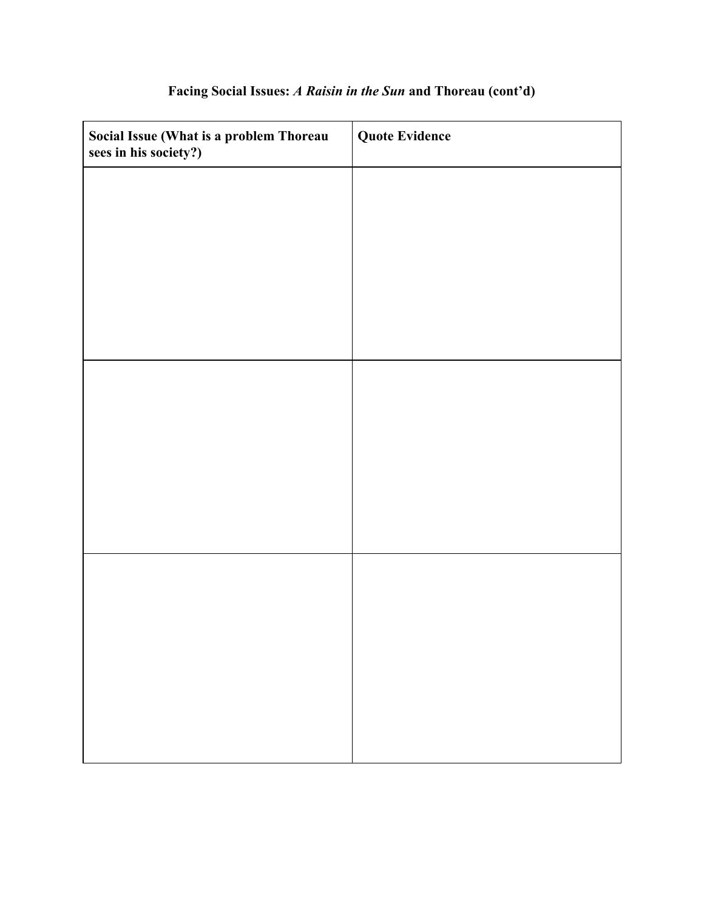| Social Issue (What is a problem Thoreau<br>sees in his society?) | <b>Quote Evidence</b> |
|------------------------------------------------------------------|-----------------------|
|                                                                  |                       |
|                                                                  |                       |
|                                                                  |                       |
|                                                                  |                       |
|                                                                  |                       |
|                                                                  |                       |
|                                                                  |                       |
|                                                                  |                       |
|                                                                  |                       |
|                                                                  |                       |
|                                                                  |                       |
|                                                                  |                       |
|                                                                  |                       |
|                                                                  |                       |

# **Facing Social Issues:** *A Raisin in the Sun* **and Thoreau (cont'd)**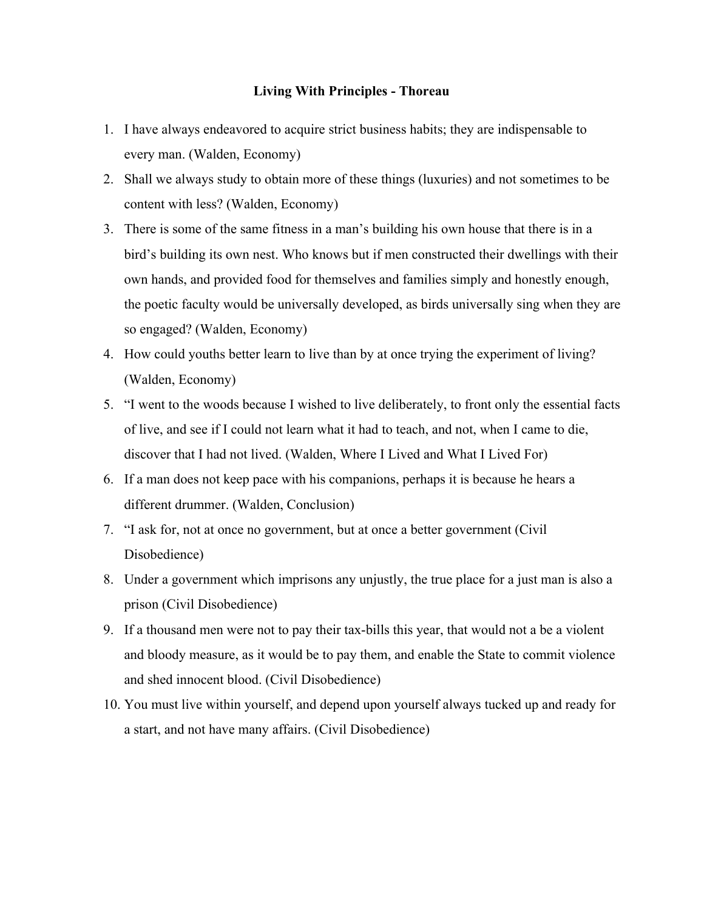#### **Living With Principles - Thoreau**

- 1. I have always endeavored to acquire strict business habits; they are indispensable to every man. (Walden, Economy)
- 2. Shall we always study to obtain more of these things (luxuries) and not sometimes to be content with less? (Walden, Economy)
- 3. There is some of the same fitness in a man's building his own house that there is in a bird's building its own nest. Who knows but if men constructed their dwellings with their own hands, and provided food for themselves and families simply and honestly enough, the poetic faculty would be universally developed, as birds universally sing when they are so engaged? (Walden, Economy)
- 4. How could youths better learn to live than by at once trying the experiment of living? (Walden, Economy)
- 5. "I went to the woods because I wished to live deliberately, to front only the essential facts of live, and see if I could not learn what it had to teach, and not, when I came to die, discover that I had not lived. (Walden, Where I Lived and What I Lived For)
- 6. If a man does not keep pace with his companions, perhaps it is because he hears a different drummer. (Walden, Conclusion)
- 7. "I ask for, not at once no government, but at once a better government (Civil Disobedience)
- 8. Under a government which imprisons any unjustly, the true place for a just man is also a prison (Civil Disobedience)
- 9. If a thousand men were not to pay their tax-bills this year, that would not a be a violent and bloody measure, as it would be to pay them, and enable the State to commit violence and shed innocent blood. (Civil Disobedience)
- 10. You must live within yourself, and depend upon yourself always tucked up and ready for a start, and not have many affairs. (Civil Disobedience)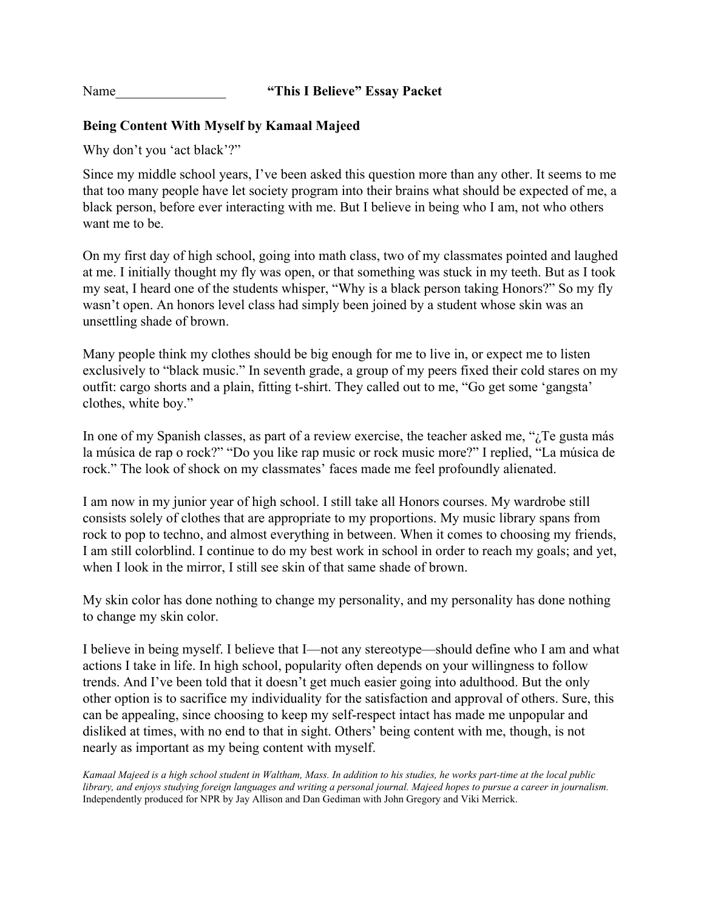Name **"This I Believe" Essay Packet** 

#### **Being Content With Myself by Kamaal Majeed**

Why don't you 'act black'?"

Since my middle school years, I've been asked this question more than any other. It seems to me that too many people have let society program into their brains what should be expected of me, a black person, before ever interacting with me. But I believe in being who I am, not who others want me to be.

On my first day of high school, going into math class, two of my classmates pointed and laughed at me. I initially thought my fly was open, or that something was stuck in my teeth. But as I took my seat, I heard one of the students whisper, "Why is a black person taking Honors?" So my fly wasn't open. An honors level class had simply been joined by a student whose skin was an unsettling shade of brown.

Many people think my clothes should be big enough for me to live in, or expect me to listen exclusively to "black music." In seventh grade, a group of my peers fixed their cold stares on my outfit: cargo shorts and a plain, fitting t-shirt. They called out to me, "Go get some 'gangsta' clothes, white boy."

In one of my Spanish classes, as part of a review exercise, the teacher asked me, "¿Te gusta más la música de rap o rock?" "Do you like rap music or rock music more?" I replied, "La música de rock." The look of shock on my classmates' faces made me feel profoundly alienated.

I am now in my junior year of high school. I still take all Honors courses. My wardrobe still consists solely of clothes that are appropriate to my proportions. My music library spans from rock to pop to techno, and almost everything in between. When it comes to choosing my friends, I am still colorblind. I continue to do my best work in school in order to reach my goals; and yet, when I look in the mirror, I still see skin of that same shade of brown.

My skin color has done nothing to change my personality, and my personality has done nothing to change my skin color.

I believe in being myself. I believe that I—not any stereotype—should define who I am and what actions I take in life. In high school, popularity often depends on your willingness to follow trends. And I've been told that it doesn't get much easier going into adulthood. But the only other option is to sacrifice my individuality for the satisfaction and approval of others. Sure, this can be appealing, since choosing to keep my self-respect intact has made me unpopular and disliked at times, with no end to that in sight. Others' being content with me, though, is not nearly as important as my being content with myself.

*Kamaal Majeed is a high school student in Waltham, Mass. In addition to his studies, he works part-time at the local public library, and enjoys studying foreign languages and writing a personal journal. Majeed hopes to pursue a career in journalism.* Independently produced for NPR by Jay Allison and Dan Gediman with John Gregory and Viki Merrick.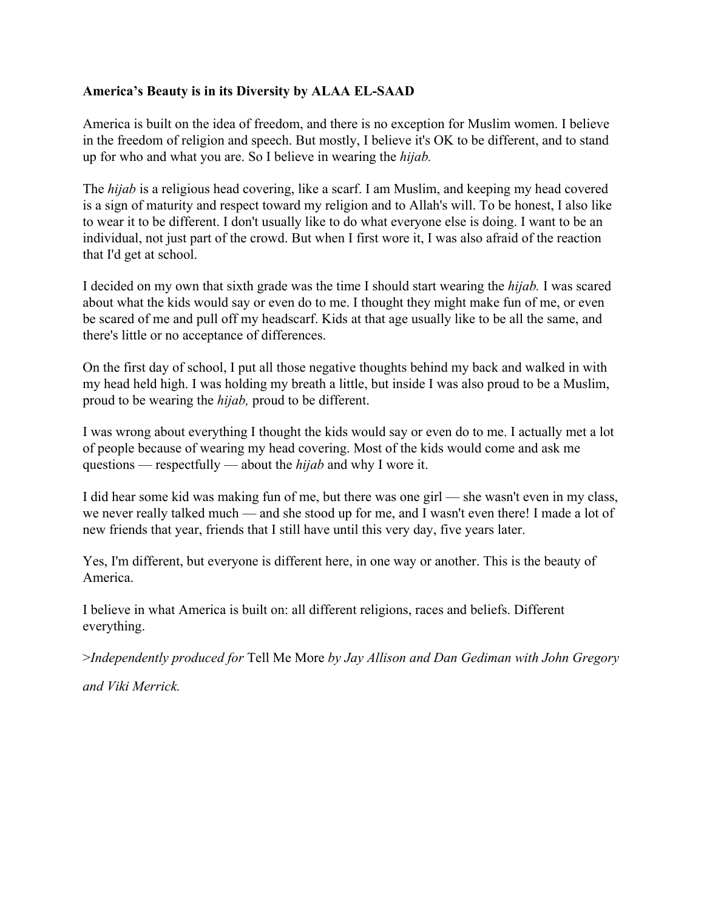### **America's Beauty is in its Diversity by ALAA EL-SAAD**

America is built on the idea of freedom, and there is no exception for Muslim women. I believe in the freedom of religion and speech. But mostly, I believe it's OK to be different, and to stand up for who and what you are. So I believe in wearing the *hijab.*

The *hijab* is a religious head covering, like a scarf. I am Muslim, and keeping my head covered is a sign of maturity and respect toward my religion and to Allah's will. To be honest, I also like to wear it to be different. I don't usually like to do what everyone else is doing. I want to be an individual, not just part of the crowd. But when I first wore it, I was also afraid of the reaction that I'd get at school.

I decided on my own that sixth grade was the time I should start wearing the *hijab.* I was scared about what the kids would say or even do to me. I thought they might make fun of me, or even be scared of me and pull off my headscarf. Kids at that age usually like to be all the same, and there's little or no acceptance of differences.

On the first day of school, I put all those negative thoughts behind my back and walked in with my head held high. I was holding my breath a little, but inside I was also proud to be a Muslim, proud to be wearing the *hijab,* proud to be different.

I was wrong about everything I thought the kids would say or even do to me. I actually met a lot of people because of wearing my head covering. Most of the kids would come and ask me questions — respectfully — about the *hijab* and why I wore it.

I did hear some kid was making fun of me, but there was one girl — she wasn't even in my class, we never really talked much — and she stood up for me, and I wasn't even there! I made a lot of new friends that year, friends that I still have until this very day, five years later.

Yes, I'm different, but everyone is different here, in one way or another. This is the beauty of America.

I believe in what America is built on: all different religions, races and beliefs. Different everything.

>*Independently produced for* Tell Me More *by Jay Allison and Dan Gediman with John Gregory*

*and Viki Merrick.*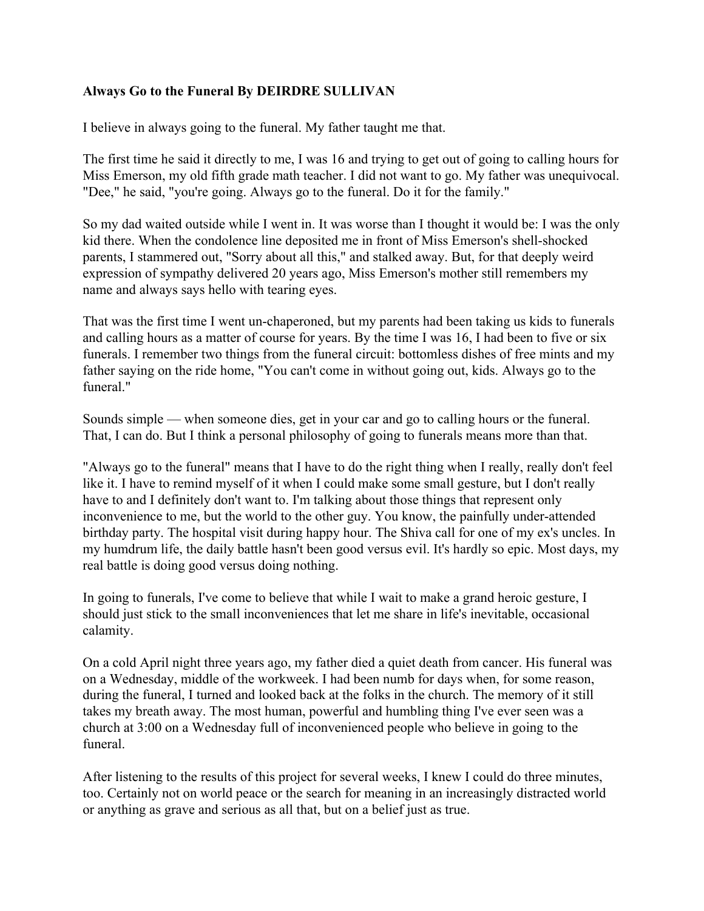### **Always Go to the Funeral By DEIRDRE SULLIVAN**

I believe in always going to the funeral. My father taught me that.

The first time he said it directly to me, I was 16 and trying to get out of going to calling hours for Miss Emerson, my old fifth grade math teacher. I did not want to go. My father was unequivocal. "Dee," he said, "you're going. Always go to the funeral. Do it for the family."

So my dad waited outside while I went in. It was worse than I thought it would be: I was the only kid there. When the condolence line deposited me in front of Miss Emerson's shell-shocked parents, I stammered out, "Sorry about all this," and stalked away. But, for that deeply weird expression of sympathy delivered 20 years ago, Miss Emerson's mother still remembers my name and always says hello with tearing eyes.

That was the first time I went un-chaperoned, but my parents had been taking us kids to funerals and calling hours as a matter of course for years. By the time I was 16, I had been to five or six funerals. I remember two things from the funeral circuit: bottomless dishes of free mints and my father saying on the ride home, "You can't come in without going out, kids. Always go to the funeral."

Sounds simple — when someone dies, get in your car and go to calling hours or the funeral. That, I can do. But I think a personal philosophy of going to funerals means more than that.

"Always go to the funeral" means that I have to do the right thing when I really, really don't feel like it. I have to remind myself of it when I could make some small gesture, but I don't really have to and I definitely don't want to. I'm talking about those things that represent only inconvenience to me, but the world to the other guy. You know, the painfully under-attended birthday party. The hospital visit during happy hour. The Shiva call for one of my ex's uncles. In my humdrum life, the daily battle hasn't been good versus evil. It's hardly so epic. Most days, my real battle is doing good versus doing nothing.

In going to funerals, I've come to believe that while I wait to make a grand heroic gesture, I should just stick to the small inconveniences that let me share in life's inevitable, occasional calamity.

On a cold April night three years ago, my father died a quiet death from cancer. His funeral was on a Wednesday, middle of the workweek. I had been numb for days when, for some reason, during the funeral, I turned and looked back at the folks in the church. The memory of it still takes my breath away. The most human, powerful and humbling thing I've ever seen was a church at 3:00 on a Wednesday full of inconvenienced people who believe in going to the funeral.

After listening to the results of this project for several weeks, I knew I could do three minutes, too. Certainly not on world peace or the search for meaning in an increasingly distracted world or anything as grave and serious as all that, but on a belief just as true.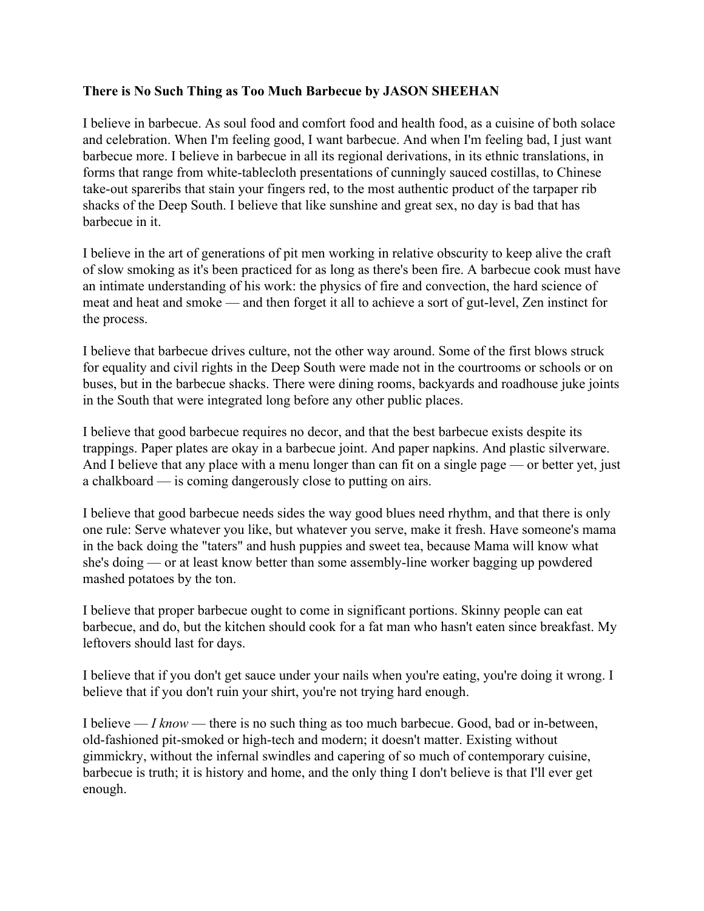#### **There is No Such Thing as Too Much Barbecue by JASON SHEEHAN**

I believe in barbecue. As soul food and comfort food and health food, as a cuisine of both solace and celebration. When I'm feeling good, I want barbecue. And when I'm feeling bad, I just want barbecue more. I believe in barbecue in all its regional derivations, in its ethnic translations, in forms that range from white-tablecloth presentations of cunningly sauced costillas, to Chinese take-out spareribs that stain your fingers red, to the most authentic product of the tarpaper rib shacks of the Deep South. I believe that like sunshine and great sex, no day is bad that has barbecue in it.

I believe in the art of generations of pit men working in relative obscurity to keep alive the craft of slow smoking as it's been practiced for as long as there's been fire. A barbecue cook must have an intimate understanding of his work: the physics of fire and convection, the hard science of meat and heat and smoke — and then forget it all to achieve a sort of gut-level, Zen instinct for the process.

I believe that barbecue drives culture, not the other way around. Some of the first blows struck for equality and civil rights in the Deep South were made not in the courtrooms or schools or on buses, but in the barbecue shacks. There were dining rooms, backyards and roadhouse juke joints in the South that were integrated long before any other public places.

I believe that good barbecue requires no decor, and that the best barbecue exists despite its trappings. Paper plates are okay in a barbecue joint. And paper napkins. And plastic silverware. And I believe that any place with a menu longer than can fit on a single page — or better yet, just a chalkboard — is coming dangerously close to putting on airs.

I believe that good barbecue needs sides the way good blues need rhythm, and that there is only one rule: Serve whatever you like, but whatever you serve, make it fresh. Have someone's mama in the back doing the "taters" and hush puppies and sweet tea, because Mama will know what she's doing — or at least know better than some assembly-line worker bagging up powdered mashed potatoes by the ton.

I believe that proper barbecue ought to come in significant portions. Skinny people can eat barbecue, and do, but the kitchen should cook for a fat man who hasn't eaten since breakfast. My leftovers should last for days.

I believe that if you don't get sauce under your nails when you're eating, you're doing it wrong. I believe that if you don't ruin your shirt, you're not trying hard enough.

I believe — *I know* — there is no such thing as too much barbecue. Good, bad or in-between, old-fashioned pit-smoked or high-tech and modern; it doesn't matter. Existing without gimmickry, without the infernal swindles and capering of so much of contemporary cuisine, barbecue is truth; it is history and home, and the only thing I don't believe is that I'll ever get enough.